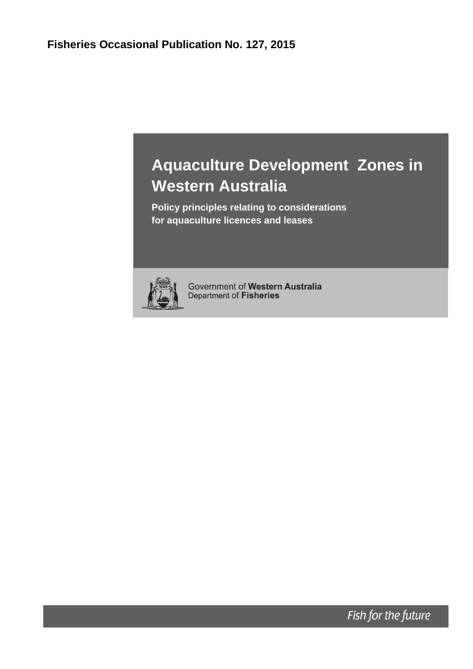# **Aquaculture Development Zones in Western Australia**

**Policy principles relating to considerations for aquaculture licences and leases**



Government of Western Australia Department of Fisheries

Fish for the future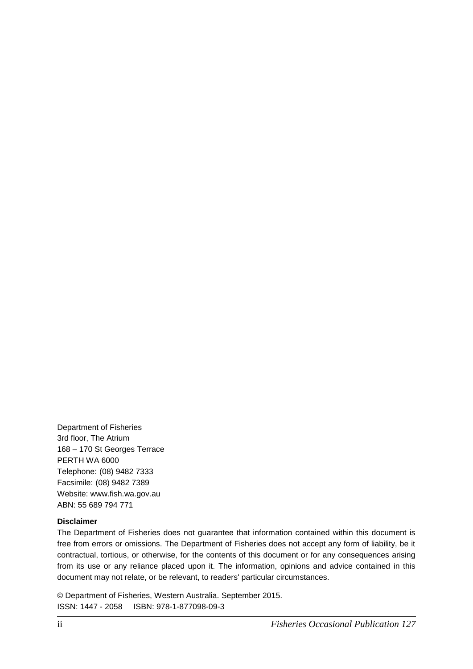Department of Fisheries 3rd floor, The Atrium 168 – 170 St Georges Terrace PERTH WA 6000 Telephone: (08) 9482 7333 Facsimile: (08) 9482 7389 Website: www.fish.wa.gov.au ABN: 55 689 794 771

#### **Disclaimer**

The Department of Fisheries does not guarantee that information contained within this document is free from errors or omissions. The Department of Fisheries does not accept any form of liability, be it contractual, tortious, or otherwise, for the contents of this document or for any consequences arising from its use or any reliance placed upon it. The information, opinions and advice contained in this document may not relate, or be relevant, to readers' particular circumstances.

© Department of Fisheries, Western Australia. September 2015. ISSN: 1447 - 2058 ISBN: 978-1-877098-09-3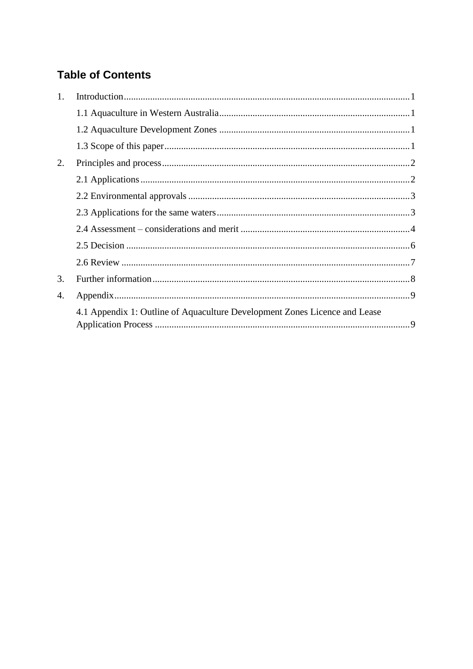## **Table of Contents**

| 1. |                                                                            |  |
|----|----------------------------------------------------------------------------|--|
|    |                                                                            |  |
|    |                                                                            |  |
|    |                                                                            |  |
| 2. |                                                                            |  |
|    |                                                                            |  |
|    |                                                                            |  |
|    |                                                                            |  |
|    |                                                                            |  |
|    |                                                                            |  |
|    |                                                                            |  |
| 3. |                                                                            |  |
| 4. |                                                                            |  |
|    | 4.1 Appendix 1: Outline of Aquaculture Development Zones Licence and Lease |  |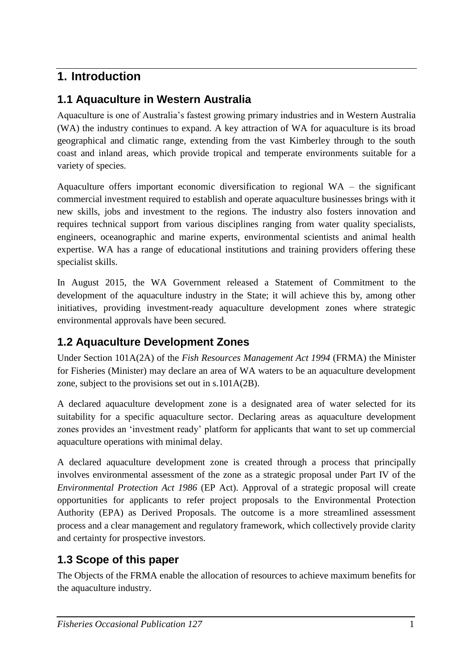# <span id="page-4-0"></span>**1. Introduction**

### <span id="page-4-1"></span>**1.1 Aquaculture in Western Australia**

Aquaculture is one of Australia's fastest growing primary industries and in Western Australia (WA) the industry continues to expand. A key attraction of WA for aquaculture is its broad geographical and climatic range, extending from the vast Kimberley through to the south coast and inland areas, which provide tropical and temperate environments suitable for a variety of species.

Aquaculture offers important economic diversification to regional WA – the significant commercial investment required to establish and operate aquaculture businesses brings with it new skills, jobs and investment to the regions. The industry also fosters innovation and requires technical support from various disciplines ranging from water quality specialists, engineers, oceanographic and marine experts, environmental scientists and animal health expertise. WA has a range of educational institutions and training providers offering these specialist skills.

In August 2015, the WA Government released a Statement of Commitment to the development of the aquaculture industry in the State; it will achieve this by, among other initiatives, providing investment-ready aquaculture development zones where strategic environmental approvals have been secured.

### <span id="page-4-2"></span>**1.2 Aquaculture Development Zones**

Under Section 101A(2A) of the *Fish Resources Management Act 1994* (FRMA) the Minister for Fisheries (Minister) may declare an area of WA waters to be an aquaculture development zone, subject to the provisions set out in s.101A(2B).

A declared aquaculture development zone is a designated area of water selected for its suitability for a specific aquaculture sector. Declaring areas as aquaculture development zones provides an 'investment ready' platform for applicants that want to set up commercial aquaculture operations with minimal delay.

A declared aquaculture development zone is created through a process that principally involves environmental assessment of the zone as a strategic proposal under Part IV of the *Environmental Protection Act 1986* (EP Act). Approval of a strategic proposal will create opportunities for applicants to refer project proposals to the Environmental Protection Authority (EPA) as Derived Proposals. The outcome is a more streamlined assessment process and a clear management and regulatory framework, which collectively provide clarity and certainty for prospective investors.

### <span id="page-4-3"></span>**1.3 Scope of this paper**

The Objects of the FRMA enable the allocation of resources to achieve maximum benefits for the aquaculture industry.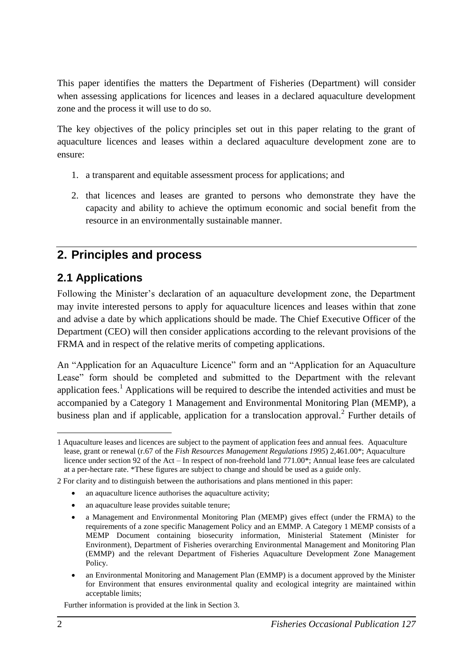This paper identifies the matters the Department of Fisheries (Department) will consider when assessing applications for licences and leases in a declared aquaculture development zone and the process it will use to do so.

The key objectives of the policy principles set out in this paper relating to the grant of aquaculture licences and leases within a declared aquaculture development zone are to ensure:

- 1. a transparent and equitable assessment process for applications; and
- 2. that licences and leases are granted to persons who demonstrate they have the capacity and ability to achieve the optimum economic and social benefit from the resource in an environmentally sustainable manner.

# <span id="page-5-0"></span>**2. Principles and process**

# <span id="page-5-1"></span>**2.1 Applications**

Following the Minister's declaration of an aquaculture development zone, the Department may invite interested persons to apply for aquaculture licences and leases within that zone and advise a date by which applications should be made. The Chief Executive Officer of the Department (CEO) will then consider applications according to the relevant provisions of the FRMA and in respect of the relative merits of competing applications.

An "Application for an Aquaculture Licence" form and an "Application for an Aquaculture Lease" form should be completed and submitted to the Department with the relevant application fees.<sup>1</sup> Applications will be required to describe the intended activities and must be accompanied by a Category 1 Management and Environmental Monitoring Plan (MEMP), a business plan and if applicable, application for a translocation approval.<sup>2</sup> Further details of

- an aquaculture licence authorises the aquaculture activity;
- an aquaculture lease provides suitable tenure;

Further information is provided at the link in Section 3.

<sup>&</sup>lt;u>.</u> 1 Aquaculture leases and licences are subject to the payment of application fees and annual fees. Aquaculture lease, grant or renewal (r.67 of the *Fish Resources Management Regulations 1995*) 2,461.00\*; Aquaculture licence under section 92 of the Act – In respect of non-freehold land 771.00\*; Annual lease fees are calculated at a per-hectare rate. \*These figures are subject to change and should be used as a guide only.

<sup>2</sup> For clarity and to distinguish between the authorisations and plans mentioned in this paper:

a Management and Environmental Monitoring Plan (MEMP) gives effect (under the FRMA) to the requirements of a zone specific Management Policy and an EMMP. A Category 1 MEMP consists of a MEMP Document containing biosecurity information, Ministerial Statement (Minister for Environment), Department of Fisheries overarching Environmental Management and Monitoring Plan (EMMP) and the relevant Department of Fisheries Aquaculture Development Zone Management Policy.

an Environmental Monitoring and Management Plan (EMMP) is a document approved by the Minister for Environment that ensures environmental quality and ecological integrity are maintained within acceptable limits;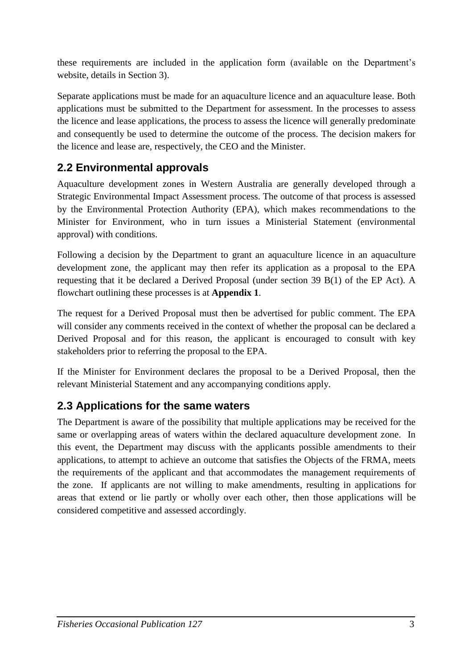these requirements are included in the application form (available on the Department's website, details in Section 3).

Separate applications must be made for an aquaculture licence and an aquaculture lease. Both applications must be submitted to the Department for assessment. In the processes to assess the licence and lease applications, the process to assess the licence will generally predominate and consequently be used to determine the outcome of the process. The decision makers for the licence and lease are, respectively, the CEO and the Minister.

# <span id="page-6-0"></span>**2.2 Environmental approvals**

Aquaculture development zones in Western Australia are generally developed through a Strategic Environmental Impact Assessment process. The outcome of that process is assessed by the Environmental Protection Authority (EPA), which makes recommendations to the Minister for Environment, who in turn issues a Ministerial Statement (environmental approval) with conditions.

Following a decision by the Department to grant an aquaculture licence in an aquaculture development zone, the applicant may then refer its application as a proposal to the EPA requesting that it be declared a Derived Proposal (under section 39 B(1) of the EP Act). A flowchart outlining these processes is at **Appendix 1**.

The request for a Derived Proposal must then be advertised for public comment. The EPA will consider any comments received in the context of whether the proposal can be declared a Derived Proposal and for this reason, the applicant is encouraged to consult with key stakeholders prior to referring the proposal to the EPA.

If the Minister for Environment declares the proposal to be a Derived Proposal, then the relevant Ministerial Statement and any accompanying conditions apply.

### <span id="page-6-1"></span>**2.3 Applications for the same waters**

The Department is aware of the possibility that multiple applications may be received for the same or overlapping areas of waters within the declared aquaculture development zone. In this event, the Department may discuss with the applicants possible amendments to their applications, to attempt to achieve an outcome that satisfies the Objects of the FRMA, meets the requirements of the applicant and that accommodates the management requirements of the zone. If applicants are not willing to make amendments, resulting in applications for areas that extend or lie partly or wholly over each other, then those applications will be considered competitive and assessed accordingly.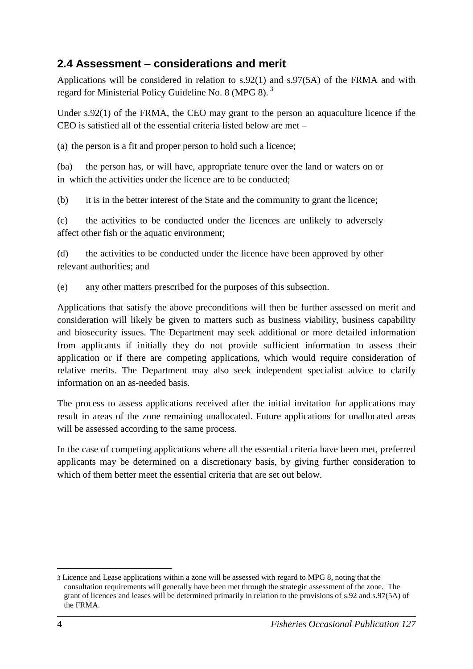### <span id="page-7-0"></span>**2.4 Assessment – considerations and merit**

Applications will be considered in relation to s.92(1) and s.97(5A) of the FRMA and with regard for Ministerial Policy Guideline No. 8 (MPG 8). <sup>3</sup>

Under s.92(1) of the FRMA, the CEO may grant to the person an aquaculture licence if the CEO is satisfied all of the essential criteria listed below are met –

(a) the person is a fit and proper person to hold such a licence;

(ba) the person has, or will have, appropriate tenure over the land or waters on or in which the activities under the licence are to be conducted;

(b) it is in the better interest of the State and the community to grant the licence;

(c) the activities to be conducted under the licences are unlikely to adversely affect other fish or the aquatic environment;

(d) the activities to be conducted under the licence have been approved by other relevant authorities; and

(e) any other matters prescribed for the purposes of this subsection.

Applications that satisfy the above preconditions will then be further assessed on merit and consideration will likely be given to matters such as business viability, business capability and biosecurity issues. The Department may seek additional or more detailed information from applicants if initially they do not provide sufficient information to assess their application or if there are competing applications, which would require consideration of relative merits. The Department may also seek independent specialist advice to clarify information on an as-needed basis.

The process to assess applications received after the initial invitation for applications may result in areas of the zone remaining unallocated. Future applications for unallocated areas will be assessed according to the same process.

In the case of competing applications where all the essential criteria have been met, preferred applicants may be determined on a discretionary basis, by giving further consideration to which of them better meet the essential criteria that are set out below.

1

<sup>3</sup> Licence and Lease applications within a zone will be assessed with regard to MPG 8, noting that the consultation requirements will generally have been met through the strategic assessment of the zone. The grant of licences and leases will be determined primarily in relation to the provisions of s.92 and s.97(5A) of the FRMA.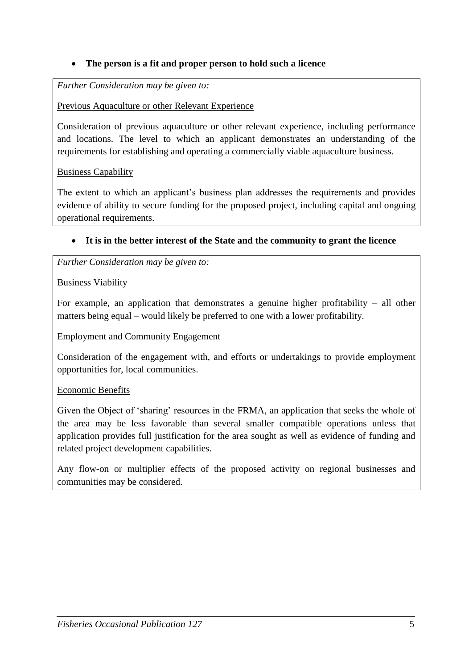#### **The person is a fit and proper person to hold such a licence**

#### *Further Consideration may be given to:*

#### Previous Aquaculture or other Relevant Experience

Consideration of previous aquaculture or other relevant experience, including performance and locations. The level to which an applicant demonstrates an understanding of the requirements for establishing and operating a commercially viable aquaculture business.

#### Business Capability

The extent to which an applicant's business plan addresses the requirements and provides evidence of ability to secure funding for the proposed project, including capital and ongoing operational requirements.

#### **It is in the better interest of the State and the community to grant the licence**

*Further Consideration may be given to:*

#### Business Viability

For example, an application that demonstrates a genuine higher profitability  $-$  all other matters being equal – would likely be preferred to one with a lower profitability.

#### Employment and Community Engagement

Consideration of the engagement with, and efforts or undertakings to provide employment opportunities for, local communities.

#### Economic Benefits

Given the Object of 'sharing' resources in the FRMA, an application that seeks the whole of the area may be less favorable than several smaller compatible operations unless that application provides full justification for the area sought as well as evidence of funding and related project development capabilities.

Any flow-on or multiplier effects of the proposed activity on regional businesses and communities may be considered.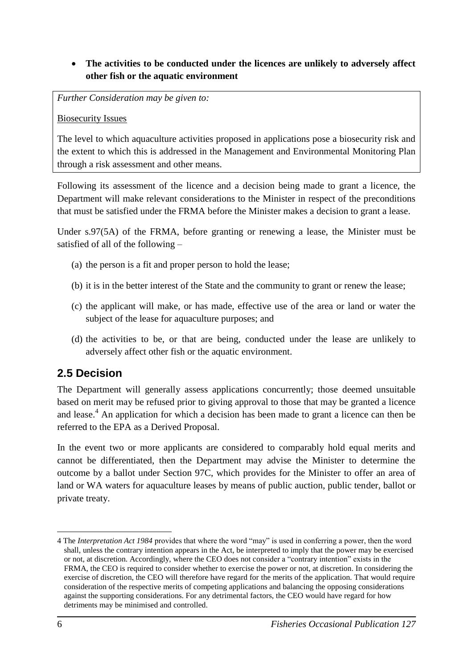#### **The activities to be conducted under the licences are unlikely to adversely affect other fish or the aquatic environment**

*Further Consideration may be given to:*

Biosecurity Issues

The level to which aquaculture activities proposed in applications pose a biosecurity risk and the extent to which this is addressed in the Management and Environmental Monitoring Plan through a risk assessment and other means.

Following its assessment of the licence and a decision being made to grant a licence, the Department will make relevant considerations to the Minister in respect of the preconditions that must be satisfied under the FRMA before the Minister makes a decision to grant a lease.

Under s.97(5A) of the FRMA, before granting or renewing a lease, the Minister must be satisfied of all of the following –

- (a) the person is a fit and proper person to hold the lease;
- (b) it is in the better interest of the State and the community to grant or renew the lease;
- (c) the applicant will make, or has made, effective use of the area or land or water the subject of the lease for aquaculture purposes; and
- (d) the activities to be, or that are being, conducted under the lease are unlikely to adversely affect other fish or the aquatic environment.

### <span id="page-9-0"></span>**2.5 Decision**

The Department will generally assess applications concurrently; those deemed unsuitable based on merit may be refused prior to giving approval to those that may be granted a licence and lease.<sup>4</sup> An application for which a decision has been made to grant a licence can then be referred to the EPA as a Derived Proposal.

In the event two or more applicants are considered to comparably hold equal merits and cannot be differentiated, then the Department may advise the Minister to determine the outcome by a ballot under Section 97C, which provides for the Minister to offer an area of land or WA waters for aquaculture leases by means of public auction, public tender, ballot or private treaty.

1

<sup>4</sup> The *Interpretation Act 1984* provides that where the word "may" is used in conferring a power, then the word shall, unless the contrary intention appears in the Act, be interpreted to imply that the power may be exercised or not, at discretion. Accordingly, where the CEO does not consider a "contrary intention" exists in the FRMA, the CEO is required to consider whether to exercise the power or not, at discretion. In considering the exercise of discretion, the CEO will therefore have regard for the merits of the application. That would require consideration of the respective merits of competing applications and balancing the opposing considerations against the supporting considerations. For any detrimental factors, the CEO would have regard for how detriments may be minimised and controlled.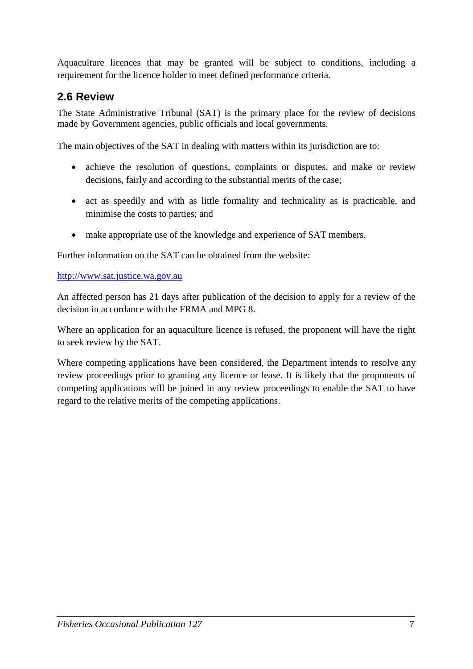Aquaculture licences that may be granted will be subject to conditions, including a requirement for the licence holder to meet defined performance criteria.

### <span id="page-10-0"></span>**2.6 Review**

The State Administrative Tribunal (SAT) is the primary place for the review of decisions made by Government agencies, public officials and local governments.

The main objectives of the SAT in dealing with matters within its jurisdiction are to:

- achieve the resolution of questions, complaints or disputes, and make or review decisions, fairly and according to the substantial merits of the case;
- act as speedily and with as little formality and technicality as is practicable, and minimise the costs to parties; and
- make appropriate use of the knowledge and experience of SAT members.

Further information on the SAT can be obtained from the website:

[http://www.sat.justice.wa.gov.au](http://www.sat.justice.wa.gov.au/)

An affected person has 21 days after publication of the decision to apply for a review of the decision in accordance with the FRMA and MPG 8.

Where an application for an aquaculture licence is refused, the proponent will have the right to seek review by the SAT.

Where competing applications have been considered, the Department intends to resolve any review proceedings prior to granting any licence or lease. It is likely that the proponents of competing applications will be joined in any review proceedings to enable the SAT to have regard to the relative merits of the competing applications.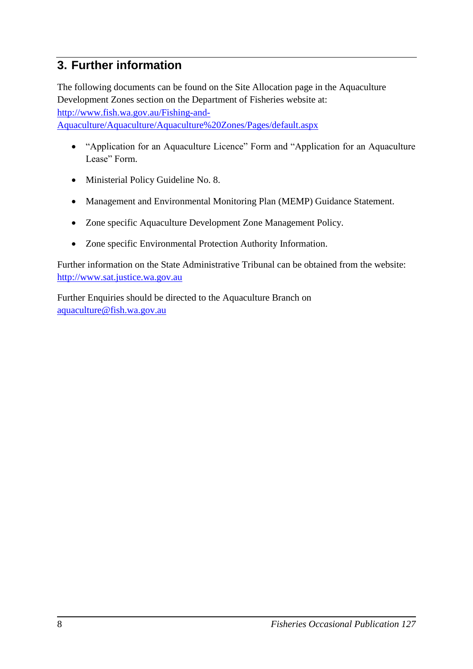### <span id="page-11-0"></span>**3. Further information**

The following documents can be found on the Site Allocation page in the Aquaculture Development Zones section on the Department of Fisheries website at: [http://www.fish.wa.gov.au/Fishing-and-](http://www.fish.wa.gov.au/Fishing-and-%20%20%20%20%20%20Aquaculture/Aquaculture/Aquaculture%20Zones/Pages/default.aspx)[Aquaculture/Aquaculture/Aquaculture%20Zones/Pages/default.aspx](http://www.fish.wa.gov.au/Fishing-and-%20%20%20%20%20%20Aquaculture/Aquaculture/Aquaculture%20Zones/Pages/default.aspx)

- "Application for an Aquaculture Licence" Form and "Application for an Aquaculture Lease" Form.
- Ministerial Policy Guideline No. 8.
- Management and Environmental Monitoring Plan (MEMP) Guidance Statement.
- Zone specific Aquaculture Development Zone Management Policy.
- Zone specific Environmental Protection Authority Information.

Further information on the State Administrative Tribunal can be obtained from the website: [http://www.sat.justice.wa.gov.au](http://www.sat.justice.wa.gov.au/)

Further Enquiries should be directed to the Aquaculture Branch on [aquaculture@fish.wa.gov.au](mailto:aquaculture@fish.wa.gov.au)